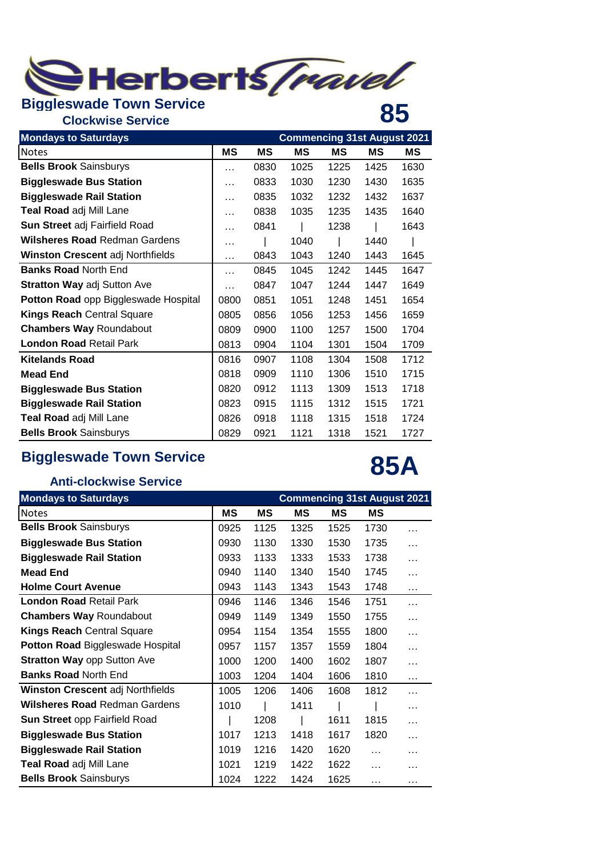

## **Clockwise Service 85**

| <b>Mondays to Saturdays</b>             | <b>Commencing 31st August 2021</b> |      |      |      |      |      |  |
|-----------------------------------------|------------------------------------|------|------|------|------|------|--|
| <b>Notes</b>                            | ΜS                                 | ΜS   | МS   | МS   | МS   | MS   |  |
| <b>Bells Brook Sainsburys</b>           | .                                  | 0830 | 1025 | 1225 | 1425 | 1630 |  |
| <b>Biggleswade Bus Station</b>          | .                                  | 0833 | 1030 | 1230 | 1430 | 1635 |  |
| <b>Biggleswade Rail Station</b>         | .                                  | 0835 | 1032 | 1232 | 1432 | 1637 |  |
| Teal Road adj Mill Lane                 | .                                  | 0838 | 1035 | 1235 | 1435 | 1640 |  |
| Sun Street adj Fairfield Road           | .                                  | 0841 |      | 1238 |      | 1643 |  |
| <b>Wilsheres Road Redman Gardens</b>    | .                                  |      | 1040 |      | 1440 |      |  |
| <b>Winston Crescent adj Northfields</b> | .                                  | 0843 | 1043 | 1240 | 1443 | 1645 |  |
| <b>Banks Road North End</b>             | .                                  | 0845 | 1045 | 1242 | 1445 | 1647 |  |
| <b>Stratton Way adj Sutton Ave</b>      | .                                  | 0847 | 1047 | 1244 | 1447 | 1649 |  |
| Potton Road opp Biggleswade Hospital    | 0800                               | 0851 | 1051 | 1248 | 1451 | 1654 |  |
| <b>Kings Reach Central Square</b>       | 0805                               | 0856 | 1056 | 1253 | 1456 | 1659 |  |
| <b>Chambers Way Roundabout</b>          | 0809                               | 0900 | 1100 | 1257 | 1500 | 1704 |  |
| <b>London Road Retail Park</b>          | 0813                               | 0904 | 1104 | 1301 | 1504 | 1709 |  |
| <b>Kitelands Road</b>                   | 0816                               | 0907 | 1108 | 1304 | 1508 | 1712 |  |
| <b>Mead End</b>                         | 0818                               | 0909 | 1110 | 1306 | 1510 | 1715 |  |
| <b>Biggleswade Bus Station</b>          | 0820                               | 0912 | 1113 | 1309 | 1513 | 1718 |  |
| <b>Biggleswade Rail Station</b>         | 0823                               | 0915 | 1115 | 1312 | 1515 | 1721 |  |
| Teal Road adj Mill Lane                 | 0826                               | 0918 | 1118 | 1315 | 1518 | 1724 |  |
| <b>Bells Brook Sainsburys</b>           | 0829                               | 0921 | 1121 | 1318 | 1521 | 1727 |  |

## **Biggleswade Town Service**

## **85A**

## **Anti-clockwise Service**

| <b>Mondays to Saturdays</b>             | <b>Commencing 31st August 2021</b> |      |      |      |          |           |  |
|-----------------------------------------|------------------------------------|------|------|------|----------|-----------|--|
| <b>Notes</b>                            | ΜS                                 | ΜS   | ΜS   | ΜS   | МS       |           |  |
| <b>Bells Brook Sainsburys</b>           | 0925                               | 1125 | 1325 | 1525 | 1730     | $\cdots$  |  |
| <b>Biggleswade Bus Station</b>          | 0930                               | 1130 | 1330 | 1530 | 1735     | $\cdots$  |  |
| <b>Biggleswade Rail Station</b>         | 0933                               | 1133 | 1333 | 1533 | 1738     | $\cdots$  |  |
| <b>Mead End</b>                         | 0940                               | 1140 | 1340 | 1540 | 1745     | $\ddotsc$ |  |
| <b>Holme Court Avenue</b>               | 0943                               | 1143 | 1343 | 1543 | 1748     | $\cdots$  |  |
| <b>London Road Retail Park</b>          | 0946                               | 1146 | 1346 | 1546 | 1751     | $\cdots$  |  |
| <b>Chambers Way Roundabout</b>          | 0949                               | 1149 | 1349 | 1550 | 1755     | $\cdots$  |  |
| <b>Kings Reach Central Square</b>       | 0954                               | 1154 | 1354 | 1555 | 1800     | $\cdots$  |  |
| <b>Potton Road Biggleswade Hospital</b> | 0957                               | 1157 | 1357 | 1559 | 1804     | $\cdots$  |  |
| <b>Stratton Way opp Sutton Ave</b>      | 1000                               | 1200 | 1400 | 1602 | 1807     | $\cdots$  |  |
| <b>Banks Road North End</b>             | 1003                               | 1204 | 1404 | 1606 | 1810     | $\cdots$  |  |
| <b>Winston Crescent adj Northfields</b> | 1005                               | 1206 | 1406 | 1608 | 1812     | $\cdots$  |  |
| <b>Wilsheres Road Redman Gardens</b>    | 1010                               |      | 1411 |      |          | $\cdots$  |  |
| Sun Street opp Fairfield Road           |                                    | 1208 |      | 1611 | 1815     | $\cdots$  |  |
| <b>Biggleswade Bus Station</b>          | 1017                               | 1213 | 1418 | 1617 | 1820     | $\cdots$  |  |
| <b>Biggleswade Rail Station</b>         | 1019                               | 1216 | 1420 | 1620 | $\cdots$ | .         |  |
| Teal Road adj Mill Lane                 | 1021                               | 1219 | 1422 | 1622 | $\cdots$ | .         |  |
| <b>Bells Brook Sainsburys</b>           | 1024                               | 1222 | 1424 | 1625 | $\cdots$ | $\cdots$  |  |